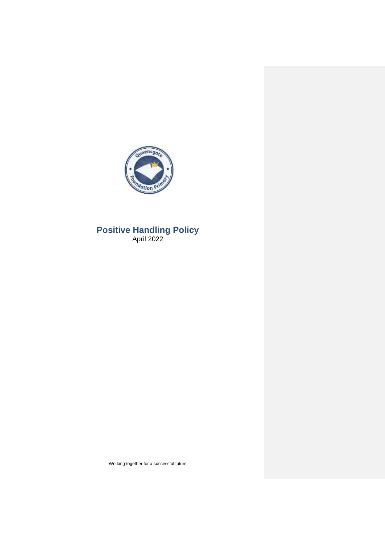

# **Positive Handling Policy** April 2022

Working together for a successful future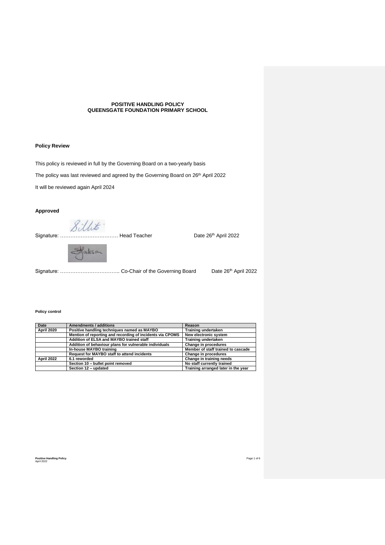#### **POSITIVE HANDLING POLICY QUEENSGATE FOUNDATION PRIMARY SCHOOL**

# **Policy Review**

This policy is reviewed in full by the Governing Board on a two-yearly basis

The policy was last reviewed and agreed by the Governing Board on 26<sup>th</sup> April 2022

It will be reviewed again April 2024

# **Approved**

 Signature: …………………….……… Head Teacher Date 26th April 2022



Signature: …………………………………… Co-Chair of the Governing Board Date 26<sup>th</sup> April 2022

# **Policy control**

| Date       | <b>Amendments / additions</b>                             | Reason                              |
|------------|-----------------------------------------------------------|-------------------------------------|
| April 2020 | Positive handling techniques named as MAYBO               | <b>Training undertaken</b>          |
|            | Mention of reporting and recording of incidents via CPOMS | New electronic system               |
|            | Addition of ELSA and MAYBO trained staff                  | <b>Training undertaken</b>          |
|            | Addition of behaviour plans for vulnerable individuals    | Change in procedures                |
|            | In-house MAYBO training                                   | Member of staff trained to cascade  |
|            | <b>Request for MAYBO staff to attend incidents</b>        | Change in procedures                |
| April 2022 | 6.1 reworded                                              | Change in training needs            |
|            | Section 10 - bullet point removed                         | No staff currently trained          |
|            | Section 12 - updated                                      | Training arranged later in the year |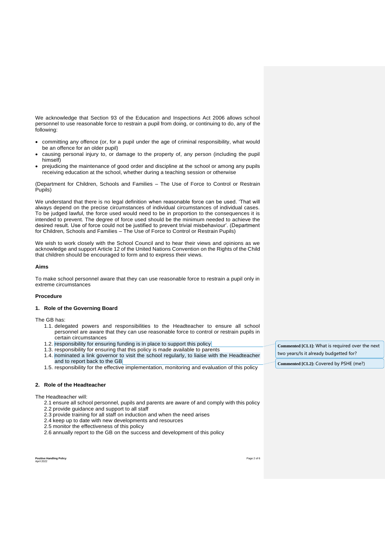We acknowledge that Section 93 of the Education and Inspections Act 2006 allows school personnel to use reasonable force to restrain a pupil from doing, or continuing to do, any of the following:

- committing any offence (or, for a pupil under the age of criminal responsibility, what would be an offence for an older pupil)
- causing personal injury to, or damage to the property of, any person (including the pupil himself)
- prejudicing the maintenance of good order and discipline at the school or among any pupils receiving education at the school, whether during a teaching session or otherwise

(Department for Children, Schools and Families – The Use of Force to Control or Restrain Pupils)

We understand that there is no legal definition when reasonable force can be used. 'That will always depend on the precise circumstances of individual circumstances of individual cases. To be judged lawful, the force used would need to be in proportion to the consequences it is intended to prevent. The degree of force used should be the minimum needed to achieve the desired result. Use of force could not be justified to prevent trivial misbehaviour'. (Department for Children, Schools and Families – The Use of Force to Control or Restrain Pupils)

We wish to work closely with the School Council and to hear their views and opinions as we acknowledge and support Article 12 of the United Nations Convention on the Rights of the Child that children should be encouraged to form and to express their views.

#### **Aims**

To make school personnel aware that they can use reasonable force to restrain a pupil only in extreme circumstances

#### **Procedure**

#### **1. Role of the Governing Board**

The GB has:

- 1.1. delegated powers and responsibilities to the Headteacher to ensure all school personnel are aware that they can use reasonable force to control or restrain pupils in certain circumstances
- 1.2. responsibility for ensuring funding is in place to support this policy
- 1.3. responsibility for ensuring that this policy is made available to parents
- 1.4. nominated a link governor to visit the school regularly, to liaise with the Headteacher and to report back to the GB
- 1.5. responsibility for the effective implementation, monitoring and evaluation of this policy

#### **2. Role of the Headteacher**

The Headteacher will:

- 2.1 ensure all school personnel, pupils and parents are aware of and comply with this policy
- 2.2 provide guidance and support to all staff
- 2.3 provide training for all staff on induction and when the need arises
- 2.4 keep up to date with new developments and resources
- 2.5 monitor the effectiveness of this policy
- 2.6 annually report to the GB on the success and development of this policy

**Positive Handling Policy** Page 2 of 6 April 2022

**Commented [CL1]:** What is required over the next two years/Is it already budgetted for?

**Commented [CL2]:** Covered by PSHE (me?)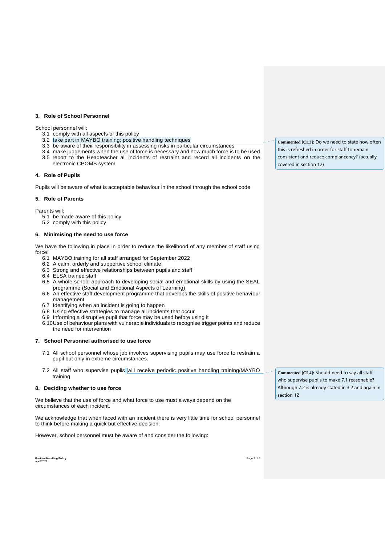# **3. Role of School Personnel**

#### School personnel will:

- 3.1 comply with all aspects of this policy
- 3.2 take part in MAYBO training; positive handling techniques
- 3.3 be aware of their responsibility in assessing risks in particular circumstances
- 3.4 make judgements when the use of force is necessary and how much force is to be used 3.5 report to the Headteacher all incidents of restraint and record all incidents on the electronic CPOMS system

#### **4. Role of Pupils**

Pupils will be aware of what is acceptable behaviour in the school through the school code

#### **5. Role of Parents**

Parents will:

- 5.1 be made aware of this policy
- 5.2 comply with this policy

#### **6. Minimising the need to use force**

We have the following in place in order to reduce the likelihood of any member of staff using force:

- 6.1 MAYBO training for all staff arranged for September 2022
- 6.2 A calm, orderly and supportive school climate
- 6.3 Strong and effective relationships between pupils and staff
- 6.4 ELSA trained staff
- 6.5 A whole school approach to developing social and emotional skills by using the SEAL programme (Social and Emotional Aspects of Learning)
- 6.6 An effective staff development programme that develops the skills of positive behaviour management
- 6.7 Identifying when an incident is going to happen
- 6.8 Using effective strategies to manage all incidents that occur
- 6.9 Informing a disruptive pupil that force may be used before using it
- 6.10Use of behaviour plans with vulnerable individuals to recognise trigger points and reduce the need for intervention

# **7. School Personnel authorised to use force**

- 7.1 All school personnel whose job involves supervising pupils may use force to restrain a pupil but only in extreme circumstances.
- 7.2 All staff who supervise pupils will receive periodic positive handling training/MAYBO training

#### **8. Deciding whether to use force**

We believe that the use of force and what force to use must always depend on the circumstances of each incident.

We acknowledge that when faced with an incident there is very little time for school personnel to think before making a quick but effective decision.

However, school personnel must be aware of and consider the following:

**Commented [CL3]:** Do we need to state how often this is refreshed in order for staff to remain consistent and reduce complancency? (actually covered in section 12)

who supervise pupils to make 7.1 reasonable? Although 7.2 is already stated in 3.2 and again in section 12

**Commented [CL4]:** Should need to say all staff

**Positive Handling Policy** Page 3 of 6 April 2022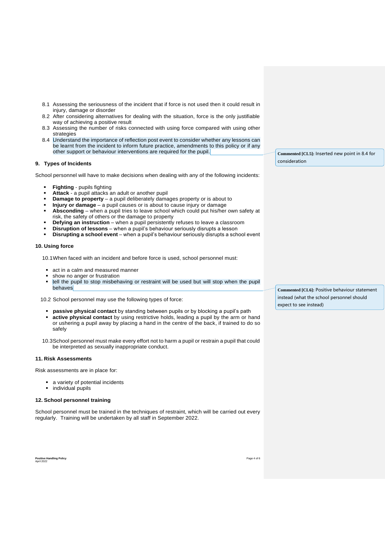- 8.1 Assessing the seriousness of the incident that if force is not used then it could result in injury, damage or disorder
- 8.2 After considering alternatives for dealing with the situation, force is the only justifiable way of achieving a positive result
- 8.3 Assessing the number of risks connected with using force compared with using other strategies
- 8.4 Understand the importance of reflection post event to consider whether any lessons can be learnt from the incident to inform future practice, amendments to this policy or if any other support or behaviour interventions are required for the pupil.

#### **9. Types of Incidents**

School personnel will have to make decisions when dealing with any of the following incidents:

- **Fighting** pupils fighting
- **Attack** a pupil attacks an adult or another pupil
- **Damage to property** a pupil deliberately damages property or is about to
- **Injury or damage** a pupil causes or is about to cause injury or damage
- **Absconding**  when a pupil tries to leave school which could put his/her own safety at risk, the safety of others or the damage to property
- **Defying an instruction**  when a pupil persistently refuses to leave a classroom
- **Disruption of lessons**  when a pupil's behaviour seriously disrupts a lesson
- **Disrupting a school event**  when a pupil's behaviour seriously disrupts a school event

#### **10. Using force**

10.1When faced with an incident and before force is used, school personnel must:

- act in a calm and measured manner
- show no anger or frustration
- tell the pupil to stop misbehaving or restraint will be used but will stop when the pupil behaves

10.2 School personnel may use the following types of force:

- **passive physical contact** by standing between pupils or by blocking a pupil's path **active physical contact** by using restrictive holds, leading a pupil by the arm or hand or ushering a pupil away by placing a hand in the centre of the back, if trained to do so safely
- 10.3School personnel must make every effort not to harm a pupil or restrain a pupil that could be interpreted as sexually inappropriate conduct.

#### **11. Risk Assessments**

Risk assessments are in place for:

- a variety of potential incidents
- **·** individual pupils

#### **12. School personnel training**

School personnel must be trained in the techniques of restraint, which will be carried out every regularly. Training will be undertaken by all staff in September 2022.

**Commented [CL5]:** Inserted new point in 8.4 for consideration

**Commented [CL6]:** Positive behaviour statement instead (what the school personnel should expect to see instead)

**Positive Handling Policy** Page 4 of 6 April 2022